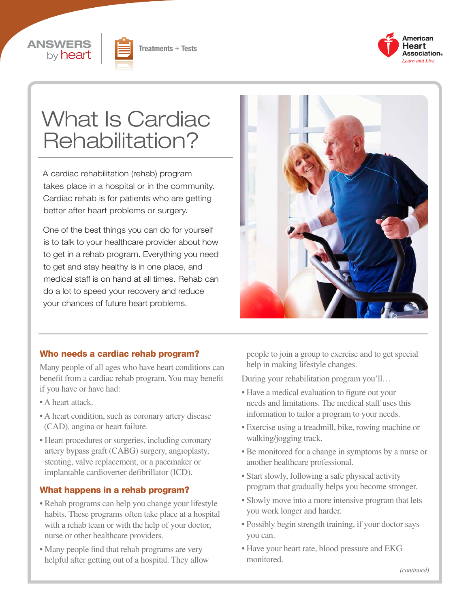





# What Is Cardiac Rehabilitation?

A cardiac rehabilitation (rehab) program takes place in a hospital or in the community. Cardiac rehab is for patients who are getting better after heart problems or surgery.

One of the best things you can do for yourself is to talk to your healthcare provider about how to get in a rehab program. Everything you need to get and stay healthy is in one place, and medical staff is on hand at all times. Rehab can do a lot to speed your recovery and reduce your chances of future heart problems.



#### Who needs a cardiac rehab program?

Many people of all ages who have heart conditions can benefit from a cardiac rehab program. You may benefit if you have or have had:

- A heart attack.
- A heart condition, such as coronary artery disease (CAD), angina or heart failure.
- Heart procedures or surgeries, including coronary artery bypass graft (CABG) surgery, angioplasty, stenting, valve replacement, or a pacemaker or implantable cardioverter defibrillator (ICD).

#### What happens in a rehab program?

- Rehab programs can help you change your lifestyle habits. These programs often take place at a hospital with a rehab team or with the help of your doctor, nurse or other healthcare providers.
- Many people find that rehab programs are very helpful after getting out of a hospital. They allow

people to join a group to exercise and to get special help in making lifestyle changes.

During your rehabilitation program you'll…

- Have a medical evaluation to figure out your needs and limitations. The medical staff uses this information to tailor a program to your needs.
- Exercise using a treadmill, bike, rowing machine or walking/jogging track.
- Be monitored for a change in symptoms by a nurse or another healthcare professional.
- Start slowly, following a safe physical activity program that gradually helps you become stronger.
- Slowly move into a more intensive program that lets you work longer and harder.
- Possibly begin strength training, if your doctor says you can.
- Have your heart rate, blood pressure and EKG monitored.